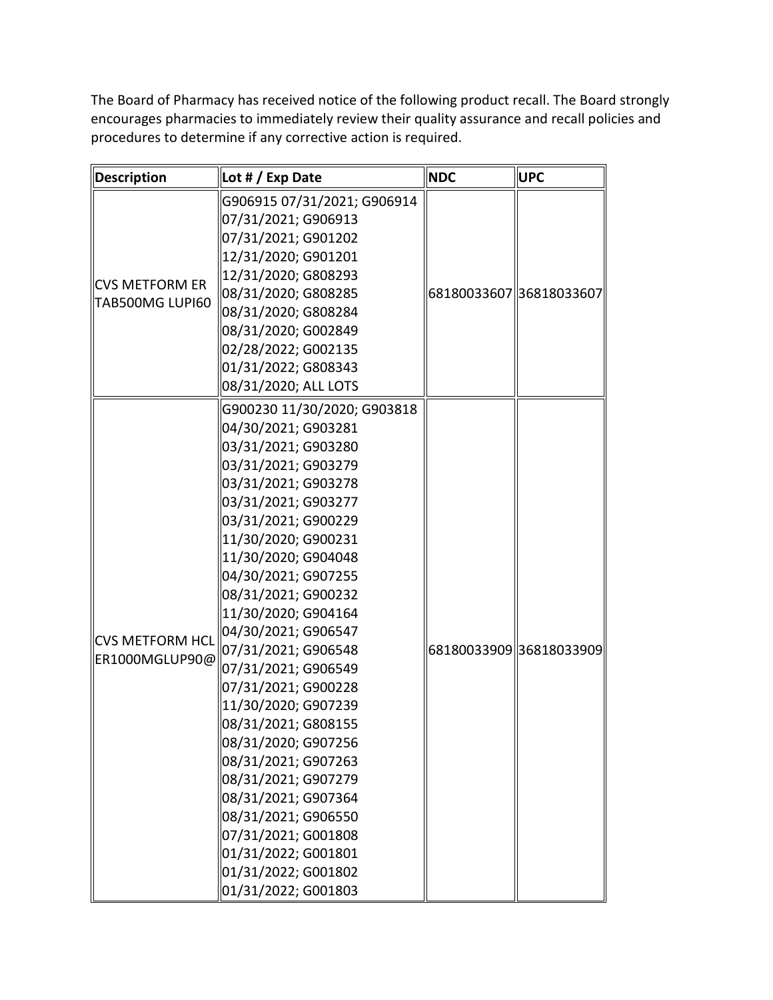The Board of Pharmacy has received notice of the following product recall. The Board strongly encourages pharmacies to immediately review their quality assurance and recall policies and procedures to determine if any corrective action is required.

| Description                              | Lot # / Exp Date                                                                                                                                                                                                                                                                                                                                                                                                                                                                                                                                                                                                                                  | <b>NDC</b>              | <b>UPC</b> |
|------------------------------------------|---------------------------------------------------------------------------------------------------------------------------------------------------------------------------------------------------------------------------------------------------------------------------------------------------------------------------------------------------------------------------------------------------------------------------------------------------------------------------------------------------------------------------------------------------------------------------------------------------------------------------------------------------|-------------------------|------------|
| <b>CVS METFORM ER</b><br>TAB500MG LUPI60 | G906915 07/31/2021; G906914<br>07/31/2021; G906913<br>07/31/2021; G901202<br>12/31/2020; G901201<br>12/31/2020; G808293<br>08/31/2020; G808285<br>08/31/2020; G808284<br>08/31/2020; G002849<br>02/28/2022; G002135<br>01/31/2022; G808343<br>08/31/2020; ALL LOTS                                                                                                                                                                                                                                                                                                                                                                                | 68180033607 36818033607 |            |
| ∥CVS METFORM HCL<br>ER1000MGLUP90@       | G900230 11/30/2020; G903818<br>04/30/2021; G903281<br>03/31/2021; G903280<br>03/31/2021; G903279<br>03/31/2021; G903278<br>03/31/2021; G903277<br>03/31/2021; G900229<br>11/30/2020; G900231<br>11/30/2020; G904048<br>04/30/2021; G907255<br>08/31/2021; G900232<br>11/30/2020; G904164<br>04/30/2021; G906547<br>07/31/2021; G906548<br>07/31/2021; G906549<br>07/31/2021; G900228<br>11/30/2020; G907239<br>08/31/2021; G808155<br>08/31/2020; G907256<br>08/31/2021; G907263<br>08/31/2021; G907279<br>08/31/2021; G907364<br>08/31/2021; G906550<br>07/31/2021; G001808<br>01/31/2022; G001801<br>01/31/2022; G001802<br>01/31/2022; G001803 | 68180033909 36818033909 |            |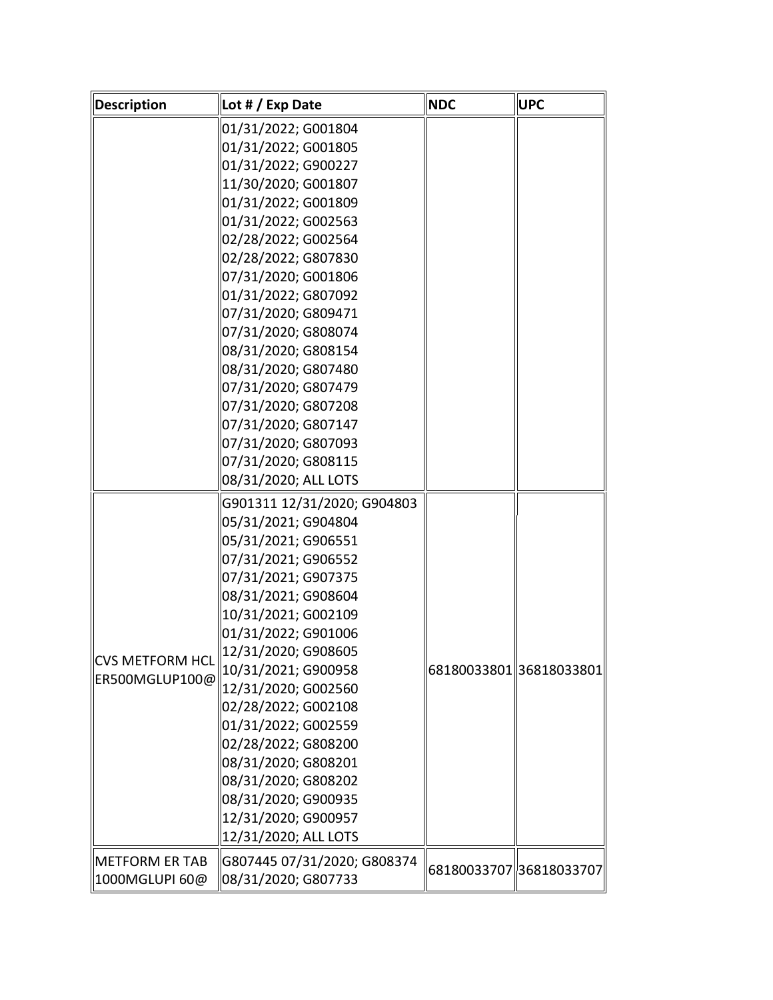| <b>Description</b>    | Lot # / Exp Date            | <b>NDC</b> | <b>UPC</b>              |
|-----------------------|-----------------------------|------------|-------------------------|
|                       | 01/31/2022; G001804         |            |                         |
|                       | 01/31/2022; G001805         |            |                         |
|                       | 01/31/2022; G900227         |            |                         |
|                       | 11/30/2020; G001807         |            |                         |
|                       | 01/31/2022; G001809         |            |                         |
|                       | 01/31/2022; G002563         |            |                         |
|                       | 02/28/2022; G002564         |            |                         |
|                       | 02/28/2022; G807830         |            |                         |
|                       | 07/31/2020; G001806         |            |                         |
|                       | 01/31/2022; G807092         |            |                         |
|                       | 07/31/2020; G809471         |            |                         |
|                       | 07/31/2020; G808074         |            |                         |
|                       | 08/31/2020; G808154         |            |                         |
|                       | 08/31/2020; G807480         |            |                         |
|                       | 07/31/2020; G807479         |            |                         |
|                       | 07/31/2020; G807208         |            |                         |
|                       | 07/31/2020; G807147         |            |                         |
|                       | 07/31/2020; G807093         |            |                         |
|                       | 07/31/2020; G808115         |            |                         |
|                       | 08/31/2020; ALL LOTS        |            |                         |
|                       | G901311 12/31/2020; G904803 |            |                         |
|                       | 05/31/2021; G904804         |            |                         |
|                       | 05/31/2021; G906551         |            |                         |
|                       | 07/31/2021; G906552         |            |                         |
|                       | 07/31/2021; G907375         |            |                         |
|                       | 08/31/2021; G908604         |            |                         |
|                       | 10/31/2021; G002109         |            |                         |
|                       | 01/31/2022; G901006         |            |                         |
| CVS METFORM HCL       | 12/31/2020; G908605         |            |                         |
| ER500MGLUP100@        | 10/31/2021; G900958         |            | 68180033801 36818033801 |
|                       | 12/31/2020; G002560         |            |                         |
|                       | 02/28/2022; G002108         |            |                         |
|                       | 01/31/2022; G002559         |            |                         |
|                       | 02/28/2022; G808200         |            |                         |
|                       | 08/31/2020; G808201         |            |                         |
|                       | 08/31/2020; G808202         |            |                         |
|                       | 08/31/2020; G900935         |            |                         |
|                       | 12/31/2020; G900957         |            |                         |
|                       | 12/31/2020; ALL LOTS        |            |                         |
| <b>METFORM ER TAB</b> | G807445 07/31/2020; G808374 |            |                         |
| 1000MGLUPI 60@        | 08/31/2020; G807733         |            | 68180033707 36818033707 |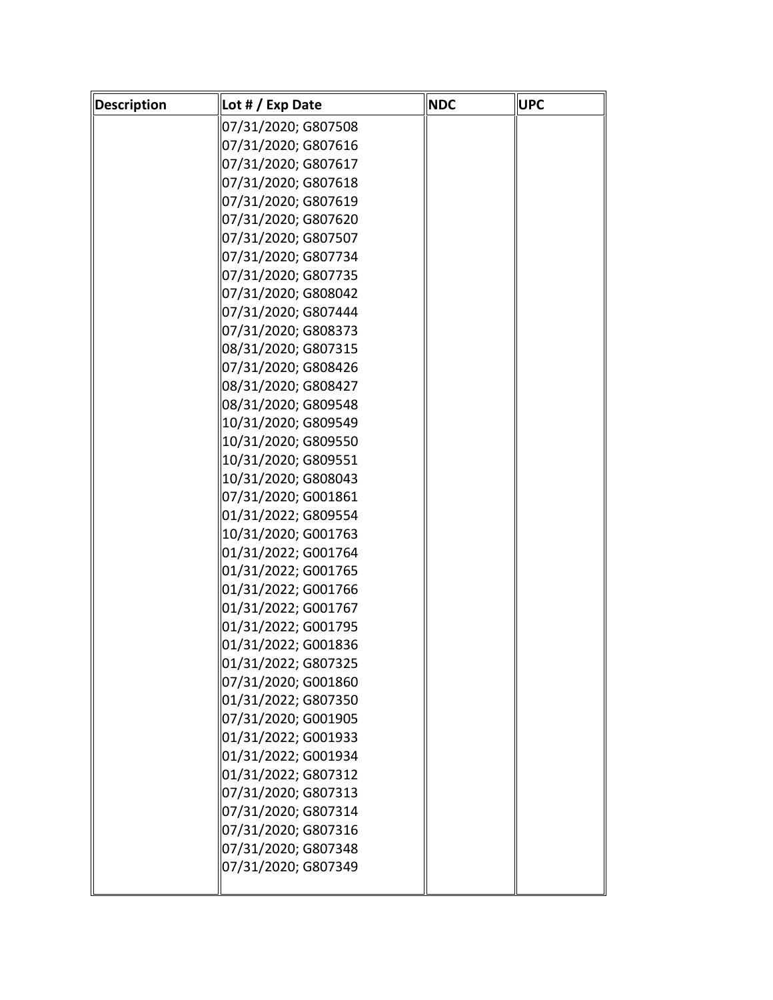| Description | Lot # / Exp Date    | <b>NDC</b> | UPC |
|-------------|---------------------|------------|-----|
|             | 07/31/2020; G807508 |            |     |
|             | 07/31/2020; G807616 |            |     |
|             | 07/31/2020; G807617 |            |     |
|             | 07/31/2020; G807618 |            |     |
|             | 07/31/2020; G807619 |            |     |
|             | 07/31/2020; G807620 |            |     |
|             | 07/31/2020; G807507 |            |     |
|             | 07/31/2020; G807734 |            |     |
|             | 07/31/2020; G807735 |            |     |
|             | 07/31/2020; G808042 |            |     |
|             | 07/31/2020; G807444 |            |     |
|             | 07/31/2020; G808373 |            |     |
|             | 08/31/2020; G807315 |            |     |
|             | 07/31/2020; G808426 |            |     |
|             | 08/31/2020; G808427 |            |     |
|             | 08/31/2020; G809548 |            |     |
|             | 10/31/2020; G809549 |            |     |
|             | 10/31/2020; G809550 |            |     |
|             | 10/31/2020; G809551 |            |     |
|             | 10/31/2020; G808043 |            |     |
|             | 07/31/2020; G001861 |            |     |
|             | 01/31/2022; G809554 |            |     |
|             | 10/31/2020; G001763 |            |     |
|             | 01/31/2022; G001764 |            |     |
|             | 01/31/2022; G001765 |            |     |
|             | 01/31/2022; G001766 |            |     |
|             | 01/31/2022; G001767 |            |     |
|             | 01/31/2022; G001795 |            |     |
|             | 01/31/2022; G001836 |            |     |
|             | 01/31/2022; G807325 |            |     |
|             | 07/31/2020; G001860 |            |     |
|             | 01/31/2022; G807350 |            |     |
|             | 07/31/2020; G001905 |            |     |
|             | 01/31/2022; G001933 |            |     |
|             | 01/31/2022; G001934 |            |     |
|             | 01/31/2022; G807312 |            |     |
|             | 07/31/2020; G807313 |            |     |
|             | 07/31/2020; G807314 |            |     |
|             | 07/31/2020; G807316 |            |     |
|             | 07/31/2020; G807348 |            |     |
|             | 07/31/2020; G807349 |            |     |
|             |                     |            |     |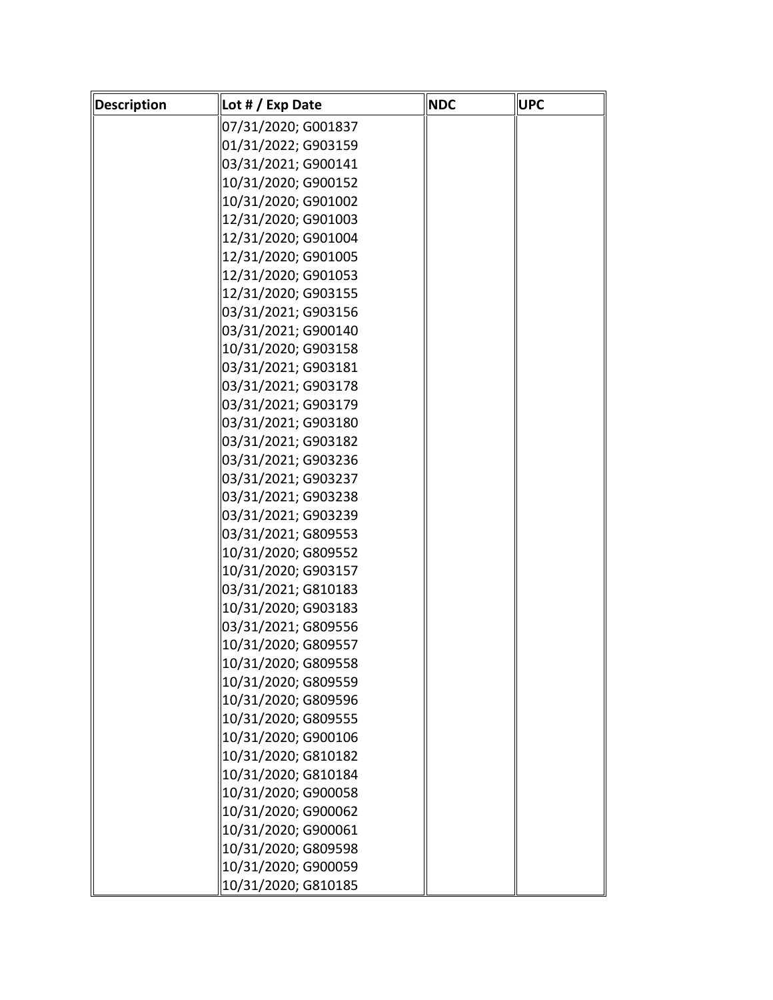| <b>Description</b> | Lot # / Exp Date    | <b>NDC</b> | <b>UPC</b> |
|--------------------|---------------------|------------|------------|
|                    | 07/31/2020; G001837 |            |            |
|                    | 01/31/2022; G903159 |            |            |
|                    | 03/31/2021; G900141 |            |            |
|                    | 10/31/2020; G900152 |            |            |
|                    | 10/31/2020; G901002 |            |            |
|                    | 12/31/2020; G901003 |            |            |
|                    | 12/31/2020; G901004 |            |            |
|                    | 12/31/2020; G901005 |            |            |
|                    | 12/31/2020; G901053 |            |            |
|                    | 12/31/2020; G903155 |            |            |
|                    | 03/31/2021; G903156 |            |            |
|                    | 03/31/2021; G900140 |            |            |
|                    | 10/31/2020; G903158 |            |            |
|                    | 03/31/2021; G903181 |            |            |
|                    | 03/31/2021; G903178 |            |            |
|                    | 03/31/2021; G903179 |            |            |
|                    | 03/31/2021; G903180 |            |            |
|                    | 03/31/2021; G903182 |            |            |
|                    | 03/31/2021; G903236 |            |            |
|                    | 03/31/2021; G903237 |            |            |
|                    | 03/31/2021; G903238 |            |            |
|                    | 03/31/2021; G903239 |            |            |
|                    | 03/31/2021; G809553 |            |            |
|                    | 10/31/2020; G809552 |            |            |
|                    | 10/31/2020; G903157 |            |            |
|                    | 03/31/2021; G810183 |            |            |
|                    | 10/31/2020; G903183 |            |            |
|                    | 03/31/2021; G809556 |            |            |
|                    | 10/31/2020; G809557 |            |            |
|                    | 10/31/2020; G809558 |            |            |
|                    | 10/31/2020; G809559 |            |            |
|                    | 10/31/2020; G809596 |            |            |
|                    | 10/31/2020; G809555 |            |            |
|                    | 10/31/2020; G900106 |            |            |
|                    | 10/31/2020; G810182 |            |            |
|                    | 10/31/2020; G810184 |            |            |
|                    | 10/31/2020; G900058 |            |            |
|                    | 10/31/2020; G900062 |            |            |
|                    | 10/31/2020; G900061 |            |            |
|                    | 10/31/2020; G809598 |            |            |
|                    | 10/31/2020; G900059 |            |            |
|                    | 10/31/2020; G810185 |            |            |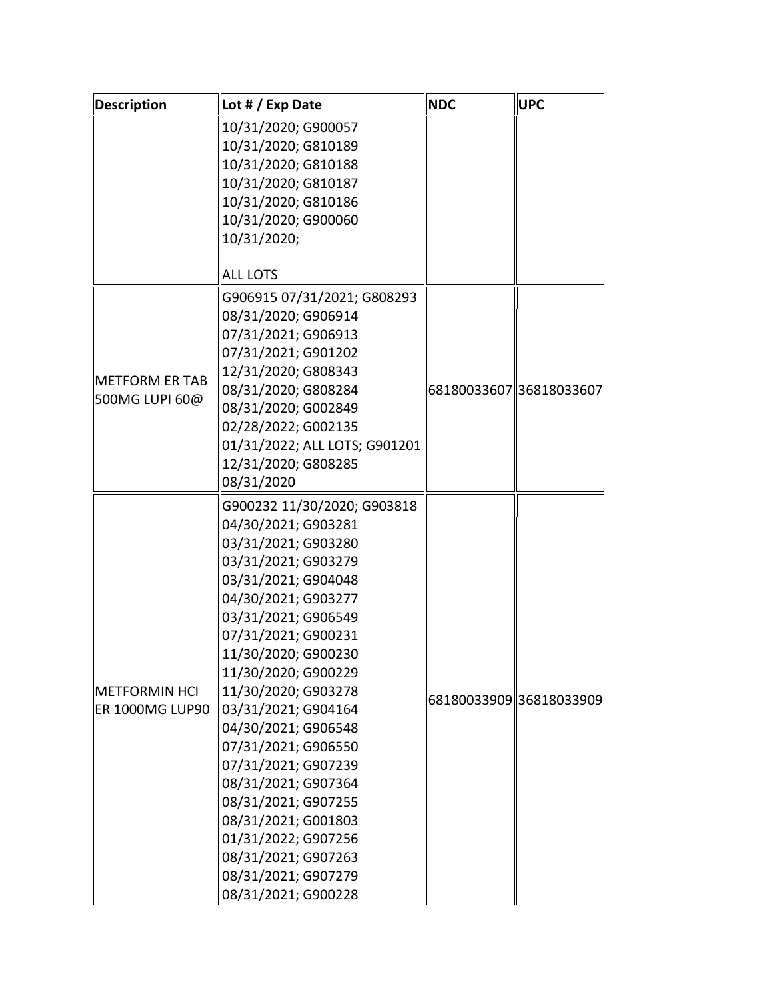| <b>Description</b>                             | Lot # / Exp Date              | <b>NDC</b>              | <b>UPC</b>              |
|------------------------------------------------|-------------------------------|-------------------------|-------------------------|
|                                                | 10/31/2020; G900057           |                         |                         |
|                                                | 10/31/2020; G810189           |                         |                         |
|                                                | 10/31/2020; G810188           |                         |                         |
|                                                | 10/31/2020; G810187           |                         |                         |
|                                                | 10/31/2020; G810186           |                         |                         |
|                                                | 10/31/2020; G900060           |                         |                         |
|                                                | 10/31/2020;                   |                         |                         |
|                                                | <b>ALL LOTS</b>               |                         |                         |
|                                                | G906915 07/31/2021; G808293   |                         |                         |
|                                                | 08/31/2020; G906914           |                         |                         |
|                                                | 07/31/2021; G906913           |                         |                         |
|                                                | 07/31/2021; G901202           |                         |                         |
|                                                | 12/31/2020; G808343           |                         |                         |
| METFORM ER TAB                                 | 08/31/2020; G808284           | 68180033607 36818033607 |                         |
| 500MG LUPI 60@                                 | 08/31/2020; G002849           |                         |                         |
|                                                | 02/28/2022; G002135           |                         |                         |
|                                                | 01/31/2022; ALL LOTS; G901201 |                         |                         |
|                                                | 12/31/2020; G808285           |                         |                         |
|                                                | 08/31/2020                    |                         |                         |
|                                                | G900232 11/30/2020; G903818   |                         |                         |
|                                                | 04/30/2021; G903281           |                         |                         |
|                                                | 03/31/2021; G903280           |                         |                         |
|                                                | 03/31/2021; G903279           |                         |                         |
|                                                | 03/31/2021; G904048           |                         |                         |
|                                                | 04/30/2021; G903277           |                         |                         |
|                                                | 03/31/2021; G906549           |                         |                         |
|                                                | 07/31/2021; G900231           |                         |                         |
|                                                | 11/30/2020; G900230           |                         |                         |
| <b>METFORMIN HCI</b><br><b>ER 1000MG LUP90</b> | 11/30/2020; G900229           |                         |                         |
|                                                | 11/30/2020; G903278           |                         | 68180033909 36818033909 |
|                                                | 03/31/2021; G904164           |                         |                         |
|                                                | 04/30/2021; G906548           |                         |                         |
|                                                | 07/31/2021; G906550           |                         |                         |
|                                                | 07/31/2021; G907239           |                         |                         |
|                                                | 08/31/2021; G907364           |                         |                         |
|                                                | 08/31/2021; G907255           |                         |                         |
|                                                | 08/31/2021; G001803           |                         |                         |
|                                                | 01/31/2022; G907256           |                         |                         |
|                                                | 08/31/2021; G907263           |                         |                         |
|                                                | 08/31/2021; G907279           |                         |                         |
|                                                | 08/31/2021; G900228           |                         |                         |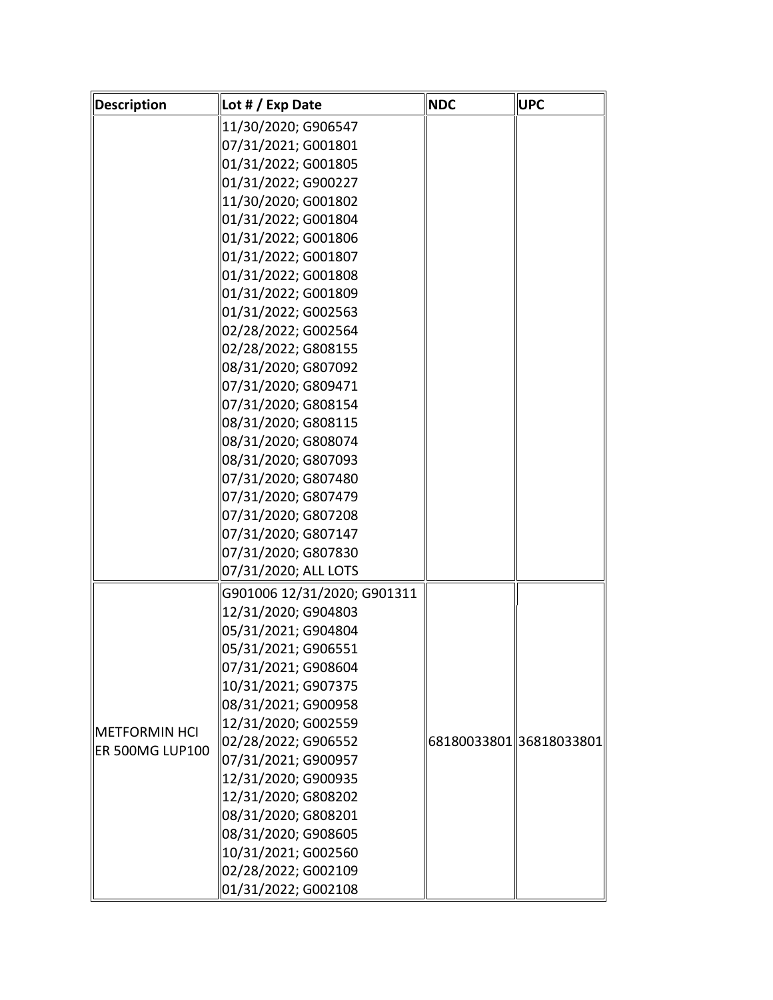| Description            | Lot $\#$ / Exp Date         | <b>NDC</b>              | <b>UPC</b> |
|------------------------|-----------------------------|-------------------------|------------|
|                        | 11/30/2020; G906547         |                         |            |
|                        | 07/31/2021; G001801         |                         |            |
|                        | 01/31/2022; G001805         |                         |            |
|                        | 01/31/2022; G900227         |                         |            |
|                        | 11/30/2020; G001802         |                         |            |
|                        | 01/31/2022; G001804         |                         |            |
|                        | 01/31/2022; G001806         |                         |            |
|                        | 01/31/2022; G001807         |                         |            |
|                        | 01/31/2022; G001808         |                         |            |
|                        | 01/31/2022; G001809         |                         |            |
|                        | 01/31/2022; G002563         |                         |            |
|                        | 02/28/2022; G002564         |                         |            |
|                        | 02/28/2022; G808155         |                         |            |
|                        | 08/31/2020; G807092         |                         |            |
|                        | 07/31/2020; G809471         |                         |            |
|                        | 07/31/2020; G808154         |                         |            |
|                        | 08/31/2020; G808115         |                         |            |
|                        | 08/31/2020; G808074         |                         |            |
|                        | 08/31/2020; G807093         |                         |            |
|                        | 07/31/2020; G807480         |                         |            |
|                        | 07/31/2020; G807479         |                         |            |
|                        | 07/31/2020; G807208         |                         |            |
|                        | 07/31/2020; G807147         |                         |            |
|                        | 07/31/2020; G807830         |                         |            |
|                        | 07/31/2020; ALL LOTS        |                         |            |
|                        | G901006 12/31/2020; G901311 |                         |            |
|                        | 12/31/2020; G904803         |                         |            |
|                        | 05/31/2021; G904804         |                         |            |
|                        | 05/31/2021; G906551         |                         |            |
|                        | 07/31/2021; G908604         |                         |            |
|                        | 10/31/2021; G907375         |                         |            |
|                        | 08/31/2021; G900958         |                         |            |
| $\ $ METFORMIN HCI     | 12/31/2020; G002559         |                         |            |
| <b>ER 500MG LUP100</b> | 02/28/2022; G906552         | 68180033801 36818033801 |            |
|                        | 07/31/2021; G900957         |                         |            |
|                        | 12/31/2020; G900935         |                         |            |
|                        | 12/31/2020; G808202         |                         |            |
|                        | 08/31/2020; G808201         |                         |            |
|                        | 08/31/2020; G908605         |                         |            |
|                        | 10/31/2021; G002560         |                         |            |
|                        | 02/28/2022; G002109         |                         |            |
|                        | 01/31/2022; G002108         |                         |            |